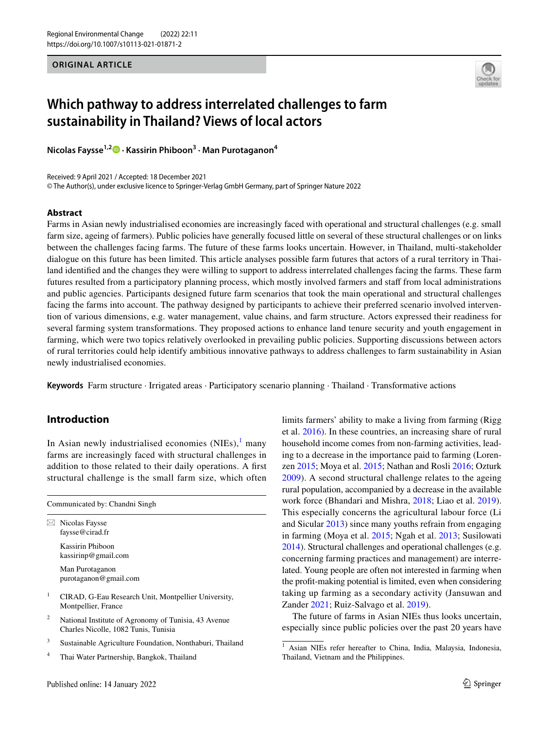**ORIGINAL ARTICLE**



# **Which pathway to address interrelated challenges to farm sustainability in Thailand? Views of local actors**

**Nicolas Faysse1,2 · Kassirin Phiboon3 · Man Purotaganon4**

Received: 9 April 2021 / Accepted: 18 December 2021 © The Author(s), under exclusive licence to Springer-Verlag GmbH Germany, part of Springer Nature 2022

#### **Abstract**

Farms in Asian newly industrialised economies are increasingly faced with operational and structural challenges (e.g. small farm size, ageing of farmers). Public policies have generally focused little on several of these structural challenges or on links between the challenges facing farms. The future of these farms looks uncertain. However, in Thailand, multi-stakeholder dialogue on this future has been limited. This article analyses possible farm futures that actors of a rural territory in Thailand identifed and the changes they were willing to support to address interrelated challenges facing the farms. These farm futures resulted from a participatory planning process, which mostly involved farmers and staf from local administrations and public agencies. Participants designed future farm scenarios that took the main operational and structural challenges facing the farms into account. The pathway designed by participants to achieve their preferred scenario involved intervention of various dimensions, e.g. water management, value chains, and farm structure. Actors expressed their readiness for several farming system transformations. They proposed actions to enhance land tenure security and youth engagement in farming, which were two topics relatively overlooked in prevailing public policies. Supporting discussions between actors of rural territories could help identify ambitious innovative pathways to address challenges to farm sustainability in Asian newly industrialised economies.

**Keywords** Farm structure · Irrigated areas · Participatory scenario planning · Thailand · Transformative actions

# **Introduction**

In Asian newly industrialised economies  $(NIES),<sup>1</sup>$  $(NIES),<sup>1</sup>$  $(NIES),<sup>1</sup>$  many farms are increasingly faced with structural challenges in addition to those related to their daily operations. A first structural challenge is the small farm size, which often

| Communicated by: Chandni Singh |                                                                                              |  |  |
|--------------------------------|----------------------------------------------------------------------------------------------|--|--|
|                                | Nicolas Faysse<br>faysse@cirad.fr                                                            |  |  |
|                                | Kassirin Phiboon<br>kassirinp@gmail.com                                                      |  |  |
|                                | Man Purotaganon<br>purotaganon@gmail.com                                                     |  |  |
| 1                              | CIRAD, G-Eau Research Unit, Montpellier University,<br>Montpellier, France                   |  |  |
| 2                              | National Institute of Agronomy of Tunisia, 43 Avenue<br>Charles Nicolle, 1082 Tunis, Tunisia |  |  |
| 3                              | Sustainable Agriculture Foundation, Nonthaburi, Thailand                                     |  |  |

Thai Water Partnership, Bangkok, Thailand

limits farmers' ability to make a living from farming (Rigg et al. [2016\)](#page-11-0). In these countries, an increasing share of rural household income comes from non-farming activities, leading to a decrease in the importance paid to farming (Lorenzen [2015;](#page-10-0) Moya et al. [2015;](#page-10-1) Nathan and Rosli [2016](#page-10-2); Ozturk [2009\)](#page-10-3). A second structural challenge relates to the ageing rural population, accompanied by a decrease in the available work force (Bhandari and Mishra, [2018](#page-9-0); Liao et al. [2019](#page-10-4)). This especially concerns the agricultural labour force (Li and Sicular [2013](#page-10-5)) since many youths refrain from engaging in farming (Moya et al. [2015;](#page-10-1) Ngah et al. [2013](#page-10-6); Susilowati [2014](#page-11-1)). Structural challenges and operational challenges (e.g. concerning farming practices and management) are interrelated. Young people are often not interested in farming when the proft-making potential is limited, even when considering taking up farming as a secondary activity (Jansuwan and Zander [2021](#page-10-7); Ruiz-Salvago et al. [2019\)](#page-11-2).

The future of farms in Asian NIEs thus looks uncertain, especially since public policies over the past 20 years have

<span id="page-0-0"></span><sup>&</sup>lt;sup>1</sup> Asian NIEs refer hereafter to China, India, Malaysia, Indonesia, Thailand, Vietnam and the Philippines.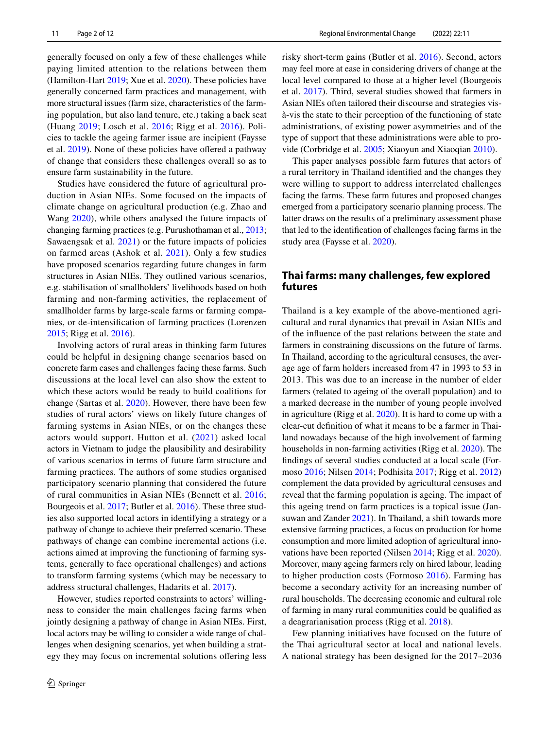generally focused on only a few of these challenges while paying limited attention to the relations between them (Hamilton-Hart [2019;](#page-10-8) Xue et al. [2020](#page-11-3)). These policies have generally concerned farm practices and management, with more structural issues (farm size, characteristics of the farming population, but also land tenure, etc.) taking a back seat (Huang [2019](#page-10-9); Losch et al. [2016](#page-10-10); Rigg et al. [2016\)](#page-11-0). Policies to tackle the ageing farmer issue are incipient (Faysse et al. [2019\)](#page-10-11). None of these policies have ofered a pathway of change that considers these challenges overall so as to ensure farm sustainability in the future.

Studies have considered the future of agricultural production in Asian NIEs. Some focused on the impacts of climate change on agricultural production (e.g. Zhao and Wang [2020\)](#page-11-4), while others analysed the future impacts of changing farming practices (e.g. Purushothaman et al., [2013](#page-10-12); Sawaengsak et al. [2021\)](#page-11-5) or the future impacts of policies on farmed areas (Ashok et al. [2021\)](#page-9-1). Only a few studies have proposed scenarios regarding future changes in farm structures in Asian NIEs. They outlined various scenarios, e.g. stabilisation of smallholders' livelihoods based on both farming and non-farming activities, the replacement of smallholder farms by large-scale farms or farming companies, or de-intensifcation of farming practices (Lorenzen [2015](#page-10-0); Rigg et al. [2016\)](#page-11-0).

Involving actors of rural areas in thinking farm futures could be helpful in designing change scenarios based on concrete farm cases and challenges facing these farms. Such discussions at the local level can also show the extent to which these actors would be ready to build coalitions for change (Sartas et al. [2020](#page-11-6)). However, there have been few studies of rural actors' views on likely future changes of farming systems in Asian NIEs, or on the changes these actors would support. Hutton et al. ([2021](#page-10-13)) asked local actors in Vietnam to judge the plausibility and desirability of various scenarios in terms of future farm structure and farming practices. The authors of some studies organised participatory scenario planning that considered the future of rural communities in Asian NIEs (Bennett et al. [2016](#page-9-2); Bourgeois et al. [2017;](#page-9-3) Butler et al. [2016\)](#page-9-4). These three studies also supported local actors in identifying a strategy or a pathway of change to achieve their preferred scenario. These pathways of change can combine incremental actions (i.e. actions aimed at improving the functioning of farming systems, generally to face operational challenges) and actions to transform farming systems (which may be necessary to address structural challenges, Hadarits et al. [2017](#page-10-14)).

However, studies reported constraints to actors' willingness to consider the main challenges facing farms when jointly designing a pathway of change in Asian NIEs. First, local actors may be willing to consider a wide range of challenges when designing scenarios, yet when building a strategy they may focus on incremental solutions ofering less risky short-term gains (Butler et al. [2016](#page-9-4)). Second, actors may feel more at ease in considering drivers of change at the local level compared to those at a higher level (Bourgeois et al. [2017\)](#page-9-3). Third, several studies showed that farmers in Asian NIEs often tailored their discourse and strategies visà-vis the state to their perception of the functioning of state administrations, of existing power asymmetries and of the type of support that these administrations were able to provide (Corbridge et al. [2005;](#page-9-5) Xiaoyun and Xiaoqian [2010\)](#page-11-7).

This paper analyses possible farm futures that actors of a rural territory in Thailand identifed and the changes they were willing to support to address interrelated challenges facing the farms*.* These farm futures and proposed changes emerged from a participatory scenario planning process. The latter draws on the results of a preliminary assessment phase that led to the identifcation of challenges facing farms in the study area (Faysse et al. [2020\)](#page-10-15).

# **Thai farms: many challenges, few explored futures**

Thailand is a key example of the above-mentioned agricultural and rural dynamics that prevail in Asian NIEs and of the infuence of the past relations between the state and farmers in constraining discussions on the future of farms. In Thailand, according to the agricultural censuses, the average age of farm holders increased from 47 in 1993 to 53 in 2013. This was due to an increase in the number of elder farmers (related to ageing of the overall population) and to a marked decrease in the number of young people involved in agriculture (Rigg et al. [2020](#page-10-16)). It is hard to come up with a clear-cut defnition of what it means to be a farmer in Thailand nowadays because of the high involvement of farming households in non-farming activities (Rigg et al. [2020\)](#page-10-16). The fndings of several studies conducted at a local scale (Formoso [2016;](#page-10-17) Nilsen [2014](#page-10-18); Podhisita [2017](#page-10-19); Rigg et al. [2012\)](#page-11-8) complement the data provided by agricultural censuses and reveal that the farming population is ageing. The impact of this ageing trend on farm practices is a topical issue (Jansuwan and Zander [2021](#page-10-7)). In Thailand, a shift towards more extensive farming practices, a focus on production for home consumption and more limited adoption of agricultural innovations have been reported (Nilsen [2014;](#page-10-18) Rigg et al. [2020](#page-10-16)). Moreover, many ageing farmers rely on hired labour, leading to higher production costs (Formoso [2016](#page-10-17)). Farming has become a secondary activity for an increasing number of rural households. The decreasing economic and cultural role of farming in many rural communities could be qualifed as a deagrarianisation process (Rigg et al. [2018\)](#page-11-9).

Few planning initiatives have focused on the future of the Thai agricultural sector at local and national levels. A national strategy has been designed for the 2017–2036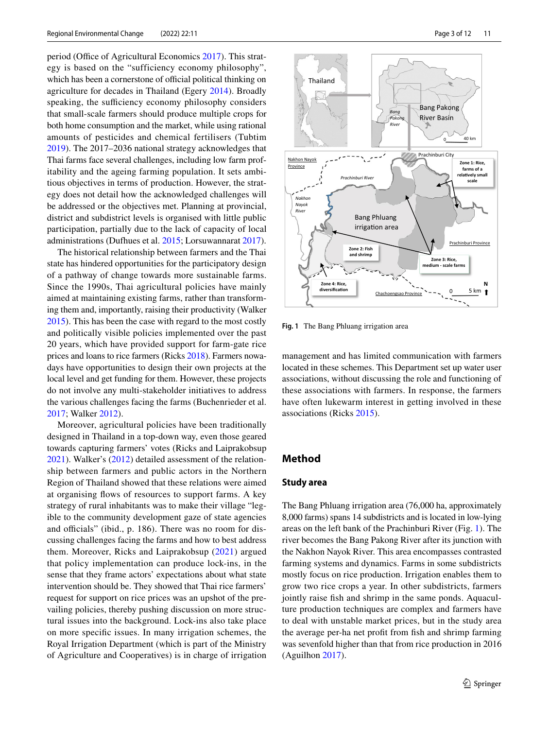period (Office of Agricultural Economics [2017\)](#page-10-20). This strategy is based on the "sufficiency economy philosophy", which has been a cornerstone of official political thinking on agriculture for decades in Thailand (Egery [2014\)](#page-10-21). Broadly speaking, the sufficiency economy philosophy considers that small-scale farmers should produce multiple crops for both home consumption and the market, while using rational amounts of pesticides and chemical fertilisers (Tubtim [2019](#page-11-10)). The 2017–2036 national strategy acknowledges that Thai farms face several challenges, including low farm profitability and the ageing farming population. It sets ambitious objectives in terms of production. However, the strategy does not detail how the acknowledged challenges will be addressed or the objectives met. Planning at provincial, district and subdistrict levels is organised with little public participation, partially due to the lack of capacity of local administrations (Dufhues et al. [2015](#page-9-6); Lorsuwannarat [2017](#page-10-22)).

The historical relationship between farmers and the Thai state has hindered opportunities for the participatory design of a pathway of change towards more sustainable farms. Since the 1990s, Thai agricultural policies have mainly aimed at maintaining existing farms, rather than transforming them and, importantly, raising their productivity (Walker [2015](#page-11-11)). This has been the case with regard to the most costly and politically visible policies implemented over the past 20 years, which have provided support for farm-gate rice prices and loans to rice farmers (Ricks [2018\)](#page-10-23). Farmers nowadays have opportunities to design their own projects at the local level and get funding for them. However, these projects do not involve any multi-stakeholder initiatives to address the various challenges facing the farms (Buchenrieder et al. [2017](#page-9-7); Walker [2012](#page-11-12)).

Moreover, agricultural policies have been traditionally designed in Thailand in a top-down way, even those geared towards capturing farmers' votes (Ricks and Laiprakobsup [2021](#page-10-24)). Walker's [\(2012](#page-11-12)) detailed assessment of the relationship between farmers and public actors in the Northern Region of Thailand showed that these relations were aimed at organising fows of resources to support farms. A key strategy of rural inhabitants was to make their village "legible to the community development gaze of state agencies and officials" (ibid.,  $p. 186$ ). There was no room for discussing challenges facing the farms and how to best address them. Moreover, Ricks and Laiprakobsup [\(2021](#page-10-24)) argued that policy implementation can produce lock-ins, in the sense that they frame actors' expectations about what state intervention should be. They showed that Thai rice farmers' request for support on rice prices was an upshot of the prevailing policies, thereby pushing discussion on more structural issues into the background. Lock-ins also take place on more specifc issues. In many irrigation schemes, the Royal Irrigation Department (which is part of the Ministry of Agriculture and Cooperatives) is in charge of irrigation



<span id="page-2-0"></span>**Fig. 1** The Bang Phluang irrigation area

management and has limited communication with farmers located in these schemes. This Department set up water user associations, without discussing the role and functioning of these associations with farmers. In response, the farmers have often lukewarm interest in getting involved in these associations (Ricks [2015](#page-10-25)).

# **Method**

#### **Study area**

The Bang Phluang irrigation area (76,000 ha, approximately 8,000 farms) spans 14 subdistricts and is located in low-lying areas on the left bank of the Prachinburi River (Fig. [1](#page-2-0)). The river becomes the Bang Pakong River after its junction with the Nakhon Nayok River. This area encompasses contrasted farming systems and dynamics. Farms in some subdistricts mostly focus on rice production. Irrigation enables them to grow two rice crops a year. In other subdistricts, farmers jointly raise fsh and shrimp in the same ponds. Aquaculture production techniques are complex and farmers have to deal with unstable market prices, but in the study area the average per-ha net proft from fsh and shrimp farming was sevenfold higher than that from rice production in 2016 (Aguilhon [2017](#page-9-8)).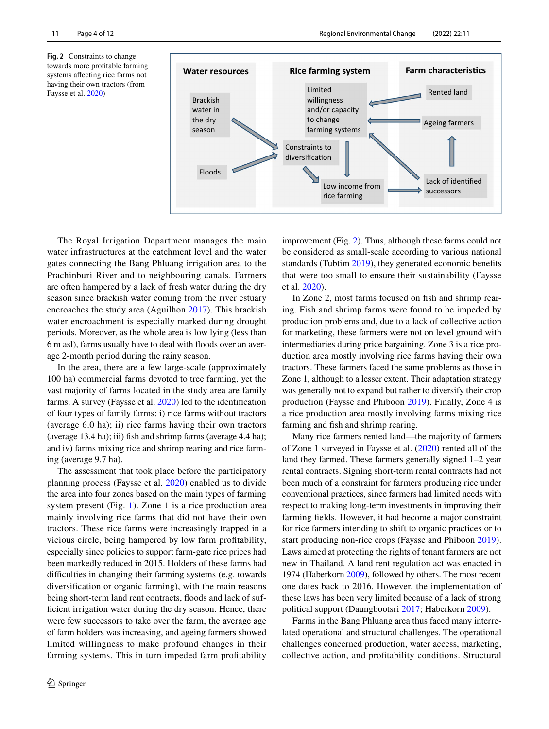<span id="page-3-0"></span>**Fig. 2** Constraints to change towards more proftable farming systems afecting rice farms not having their own tractors (from Faysse et al. [2020](#page-10-15))



The Royal Irrigation Department manages the main water infrastructures at the catchment level and the water gates connecting the Bang Phluang irrigation area to the Prachinburi River and to neighbouring canals. Farmers are often hampered by a lack of fresh water during the dry season since brackish water coming from the river estuary encroaches the study area (Aguilhon [2017\)](#page-9-8). This brackish water encroachment is especially marked during drought periods. Moreover, as the whole area is low lying (less than 6 m asl), farms usually have to deal with foods over an average 2-month period during the rainy season.

In the area, there are a few large-scale (approximately 100 ha) commercial farms devoted to tree farming, yet the vast majority of farms located in the study area are family farms. A survey (Faysse et al. [2020\)](#page-10-15) led to the identifcation of four types of family farms: i) rice farms without tractors (average 6.0 ha); ii) rice farms having their own tractors (average 13.4 ha); iii) fsh and shrimp farms (average 4.4 ha); and iv) farms mixing rice and shrimp rearing and rice farming (average 9.7 ha).

The assessment that took place before the participatory planning process (Faysse et al. [2020](#page-10-15)) enabled us to divide the area into four zones based on the main types of farming system present (Fig. [1](#page-2-0)). Zone 1 is a rice production area mainly involving rice farms that did not have their own tractors. These rice farms were increasingly trapped in a vicious circle, being hampered by low farm proftability, especially since policies to support farm-gate rice prices had been markedly reduced in 2015. Holders of these farms had difficulties in changing their farming systems (e.g. towards) diversifcation or organic farming), with the main reasons being short-term land rent contracts, floods and lack of suffcient irrigation water during the dry season. Hence, there were few successors to take over the farm, the average age of farm holders was increasing, and ageing farmers showed limited willingness to make profound changes in their farming systems. This in turn impeded farm proftability improvement (Fig. [2](#page-3-0)). Thus, although these farms could not be considered as small-scale according to various national standards (Tubtim [2019\)](#page-11-10), they generated economic benefits that were too small to ensure their sustainability (Faysse et al. [2020](#page-10-15)).

In Zone 2, most farms focused on fsh and shrimp rearing. Fish and shrimp farms were found to be impeded by production problems and, due to a lack of collective action for marketing, these farmers were not on level ground with intermediaries during price bargaining. Zone 3 is a rice production area mostly involving rice farms having their own tractors. These farmers faced the same problems as those in Zone 1, although to a lesser extent. Their adaptation strategy was generally not to expand but rather to diversify their crop production (Faysse and Phiboon [2019\)](#page-10-26). Finally, Zone 4 is a rice production area mostly involving farms mixing rice farming and fish and shrimp rearing.

Many rice farmers rented land—the majority of farmers of Zone 1 surveyed in Faysse et al. ([2020\)](#page-10-15) rented all of the land they farmed. These farmers generally signed 1–2 year rental contracts. Signing short-term rental contracts had not been much of a constraint for farmers producing rice under conventional practices, since farmers had limited needs with respect to making long-term investments in improving their farming felds. However, it had become a major constraint for rice farmers intending to shift to organic practices or to start producing non-rice crops (Faysse and Phiboon [2019](#page-10-26)). Laws aimed at protecting the rights of tenant farmers are not new in Thailand. A land rent regulation act was enacted in 1974 (Haberkorn [2009\)](#page-10-27), followed by others. The most recent one dates back to 2016. However, the implementation of these laws has been very limited because of a lack of strong political support (Daungbootsri [2017;](#page-9-9) Haberkorn [2009\)](#page-10-27).

Farms in the Bang Phluang area thus faced many interrelated operational and structural challenges. The operational challenges concerned production, water access, marketing, collective action, and proftability conditions. Structural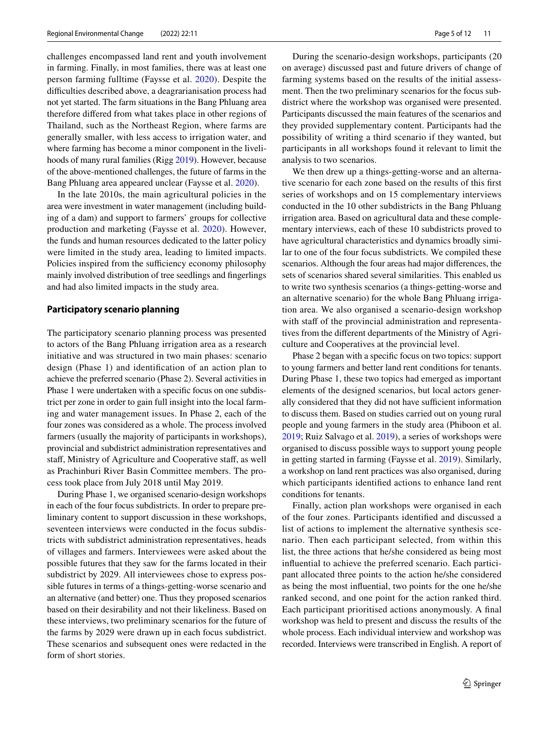challenges encompassed land rent and youth involvement in farming. Finally, in most families, there was at least one person farming fulltime (Faysse et al. [2020](#page-10-15)). Despite the difficulties described above, a deagrarianisation process had not yet started. The farm situations in the Bang Phluang area therefore difered from what takes place in other regions of Thailand, such as the Northeast Region, where farms are generally smaller, with less access to irrigation water, and where farming has become a minor component in the livelihoods of many rural families (Rigg [2019](#page-11-13)). However, because of the above-mentioned challenges, the future of farms in the Bang Phluang area appeared unclear (Faysse et al. [2020\)](#page-10-15).

In the late 2010s, the main agricultural policies in the area were investment in water management (including building of a dam) and support to farmers' groups for collective production and marketing (Faysse et al. [2020\)](#page-10-15). However, the funds and human resources dedicated to the latter policy were limited in the study area, leading to limited impacts. Policies inspired from the sufficiency economy philosophy mainly involved distribution of tree seedlings and fngerlings and had also limited impacts in the study area.

#### **Participatory scenario planning**

The participatory scenario planning process was presented to actors of the Bang Phluang irrigation area as a research initiative and was structured in two main phases: scenario design (Phase 1) and identifcation of an action plan to achieve the preferred scenario (Phase 2). Several activities in Phase 1 were undertaken with a specifc focus on one subdistrict per zone in order to gain full insight into the local farming and water management issues. In Phase 2, each of the four zones was considered as a whole. The process involved farmers (usually the majority of participants in workshops), provincial and subdistrict administration representatives and staf, Ministry of Agriculture and Cooperative staf, as well as Prachinburi River Basin Committee members. The process took place from July 2018 until May 2019.

During Phase 1, we organised scenario-design workshops in each of the four focus subdistricts. In order to prepare preliminary content to support discussion in these workshops, seventeen interviews were conducted in the focus subdistricts with subdistrict administration representatives, heads of villages and farmers. Interviewees were asked about the possible futures that they saw for the farms located in their subdistrict by 2029. All interviewees chose to express possible futures in terms of a things-getting-worse scenario and an alternative (and better) one. Thus they proposed scenarios based on their desirability and not their likeliness. Based on these interviews, two preliminary scenarios for the future of the farms by 2029 were drawn up in each focus subdistrict. These scenarios and subsequent ones were redacted in the form of short stories.

During the scenario-design workshops, participants (20 on average) discussed past and future drivers of change of farming systems based on the results of the initial assessment. Then the two preliminary scenarios for the focus subdistrict where the workshop was organised were presented. Participants discussed the main features of the scenarios and they provided supplementary content. Participants had the possibility of writing a third scenario if they wanted, but participants in all workshops found it relevant to limit the analysis to two scenarios.

We then drew up a things-getting-worse and an alternative scenario for each zone based on the results of this frst series of workshops and on 15 complementary interviews conducted in the 10 other subdistricts in the Bang Phluang irrigation area. Based on agricultural data and these complementary interviews, each of these 10 subdistricts proved to have agricultural characteristics and dynamics broadly similar to one of the four focus subdistricts. We compiled these scenarios. Although the four areas had major diferences, the sets of scenarios shared several similarities. This enabled us to write two synthesis scenarios (a things-getting-worse and an alternative scenario) for the whole Bang Phluang irrigation area. We also organised a scenario-design workshop with staff of the provincial administration and representatives from the diferent departments of the Ministry of Agriculture and Cooperatives at the provincial level.

Phase 2 began with a specifc focus on two topics: support to young farmers and better land rent conditions for tenants. During Phase 1, these two topics had emerged as important elements of the designed scenarios, but local actors generally considered that they did not have sufficient information to discuss them. Based on studies carried out on young rural people and young farmers in the study area (Phiboon et al. [2019](#page-10-28); Ruiz Salvago et al. [2019](#page-11-2)), a series of workshops were organised to discuss possible ways to support young people in getting started in farming (Faysse et al. [2019](#page-10-11)). Similarly, a workshop on land rent practices was also organised, during which participants identifed actions to enhance land rent conditions for tenants.

Finally, action plan workshops were organised in each of the four zones. Participants identifed and discussed a list of actions to implement the alternative synthesis scenario. Then each participant selected, from within this list, the three actions that he/she considered as being most infuential to achieve the preferred scenario. Each participant allocated three points to the action he/she considered as being the most infuential, two points for the one he/she ranked second, and one point for the action ranked third. Each participant prioritised actions anonymously. A fnal workshop was held to present and discuss the results of the whole process. Each individual interview and workshop was recorded. Interviews were transcribed in English. A report of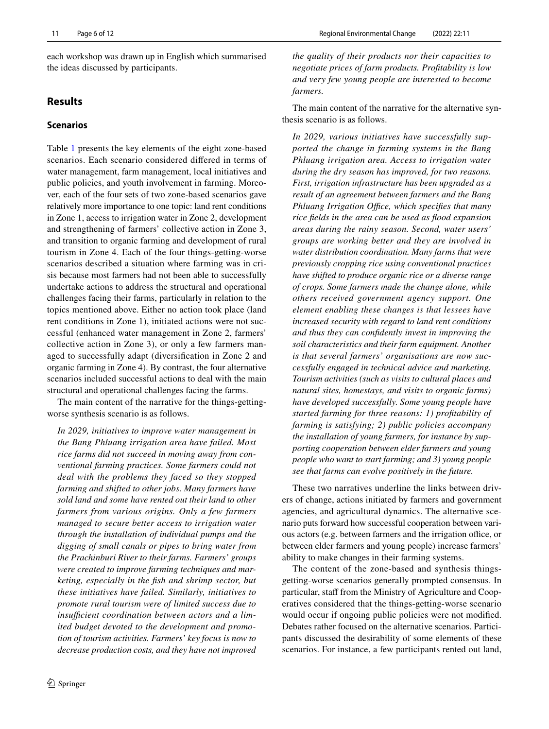each workshop was drawn up in English which summarised the ideas discussed by participants.

# **Results**

# **Scenarios**

Table [1](#page-6-0) presents the key elements of the eight zone-based scenarios. Each scenario considered difered in terms of water management, farm management, local initiatives and public policies, and youth involvement in farming. Moreover, each of the four sets of two zone-based scenarios gave relatively more importance to one topic: land rent conditions in Zone 1, access to irrigation water in Zone 2, development and strengthening of farmers' collective action in Zone 3, and transition to organic farming and development of rural tourism in Zone 4. Each of the four things-getting-worse scenarios described a situation where farming was in crisis because most farmers had not been able to successfully undertake actions to address the structural and operational challenges facing their farms, particularly in relation to the topics mentioned above. Either no action took place (land rent conditions in Zone 1), initiated actions were not successful (enhanced water management in Zone 2, farmers' collective action in Zone 3), or only a few farmers managed to successfully adapt (diversifcation in Zone 2 and organic farming in Zone 4). By contrast, the four alternative scenarios included successful actions to deal with the main structural and operational challenges facing the farms.

The main content of the narrative for the things-gettingworse synthesis scenario is as follows.

*In 2029, initiatives to improve water management in the Bang Phluang irrigation area have failed. Most rice farms did not succeed in moving away from conventional farming practices. Some farmers could not deal with the problems they faced so they stopped farming and shifted to other jobs. Many farmers have sold land and some have rented out their land to other farmers from various origins. Only a few farmers managed to secure better access to irrigation water through the installation of individual pumps and the digging of small canals or pipes to bring water from the Prachinburi River to their farms. Farmers' groups were created to improve farming techniques and marketing, especially in the fsh and shrimp sector, but these initiatives have failed. Similarly, initiatives to promote rural tourism were of limited success due to*  insufficient coordination between actors and a lim*ited budget devoted to the development and promotion of tourism activities. Farmers' key focus is now to decrease production costs, and they have not improved* 

*the quality of their products nor their capacities to negotiate prices of farm products. Proftability is low and very few young people are interested to become farmers.*

The main content of the narrative for the alternative synthesis scenario is as follows.

*In 2029, various initiatives have successfully supported the change in farming systems in the Bang Phluang irrigation area. Access to irrigation water during the dry season has improved, for two reasons. First, irrigation infrastructure has been upgraded as a result of an agreement between farmers and the Bang Phluang Irrigation Office, which specifies that many rice felds in the area can be used as food expansion areas during the rainy season. Second, water users' groups are working better and they are involved in water distribution coordination. Many farms that were previously cropping rice using conventional practices have shifted to produce organic rice or a diverse range of crops. Some farmers made the change alone, while others received government agency support. One element enabling these changes is that lessees have increased security with regard to land rent conditions and thus they can confdently invest in improving the soil characteristics and their farm equipment. Another is that several farmers' organisations are now successfully engaged in technical advice and marketing. Tourism activities (such as visits to cultural places and natural sites, homestays, and visits to organic farms) have developed successfully. Some young people have started farming for three reasons: 1) proftability of farming is satisfying; 2) public policies accompany the installation of young farmers, for instance by supporting cooperation between elder farmers and young people who want to start farming; and 3) young people see that farms can evolve positively in the future.*

These two narratives underline the links between drivers of change, actions initiated by farmers and government agencies, and agricultural dynamics. The alternative scenario puts forward how successful cooperation between various actors (e.g. between farmers and the irrigation office, or between elder farmers and young people) increase farmers' ability to make changes in their farming systems.

The content of the zone-based and synthesis thingsgetting-worse scenarios generally prompted consensus. In particular, staff from the Ministry of Agriculture and Cooperatives considered that the things-getting-worse scenario would occur if ongoing public policies were not modifed. Debates rather focused on the alternative scenarios. Participants discussed the desirability of some elements of these scenarios. For instance, a few participants rented out land,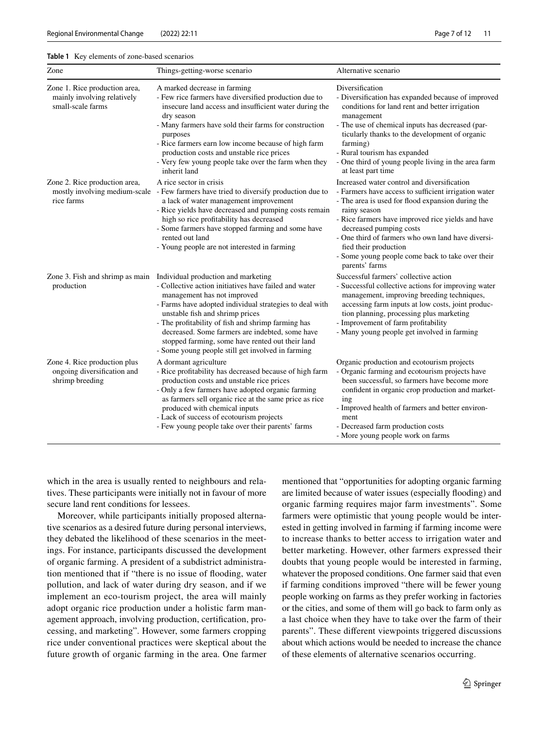#### <span id="page-6-0"></span>**Table 1** Key elements of zone-based scenarios

| Zone                                                                              | Things-getting-worse scenario                                                                                                                                                                                                                                                                                                                                                                                                                                               | Alternative scenario                                                                                                                                                                                                                                                                                                                                                                                         |
|-----------------------------------------------------------------------------------|-----------------------------------------------------------------------------------------------------------------------------------------------------------------------------------------------------------------------------------------------------------------------------------------------------------------------------------------------------------------------------------------------------------------------------------------------------------------------------|--------------------------------------------------------------------------------------------------------------------------------------------------------------------------------------------------------------------------------------------------------------------------------------------------------------------------------------------------------------------------------------------------------------|
| Zone 1. Rice production area,<br>mainly involving relatively<br>small-scale farms | A marked decrease in farming<br>- Few rice farmers have diversified production due to<br>insecure land access and insufficient water during the<br>dry season<br>- Many farmers have sold their farms for construction<br>purposes<br>- Rice farmers earn low income because of high farm<br>production costs and unstable rice prices<br>- Very few young people take over the farm when they<br>inherit land                                                              | Diversification<br>- Diversification has expanded because of improved<br>conditions for land rent and better irrigation<br>management<br>- The use of chemical inputs has decreased (par-<br>ticularly thanks to the development of organic<br>farming)<br>- Rural tourism has expanded<br>- One third of young people living in the area farm<br>at least part time                                         |
| Zone 2. Rice production area,<br>rice farms                                       | A rice sector in crisis<br>mostly involving medium-scale - Few farmers have tried to diversify production due to<br>a lack of water management improvement<br>- Rice yields have decreased and pumping costs remain<br>high so rice profitability has decreased<br>- Some farmers have stopped farming and some have<br>rented out land<br>- Young people are not interested in farming                                                                                     | Increased water control and diversification<br>- Farmers have access to sufficient irrigation water<br>- The area is used for flood expansion during the<br>rainy season<br>- Rice farmers have improved rice yields and have<br>decreased pumping costs<br>- One third of farmers who own land have diversi-<br>fied their production<br>- Some young people come back to take over their<br>parents' farms |
| production                                                                        | Zone 3. Fish and shrimp as main Individual production and marketing<br>- Collective action initiatives have failed and water<br>management has not improved<br>- Farms have adopted individual strategies to deal with<br>unstable fish and shrimp prices<br>- The profitability of fish and shrimp farming has<br>decreased. Some farmers are indebted, some have<br>stopped farming, some have rented out their land<br>- Some young people still get involved in farming | Successful farmers' collective action<br>- Successful collective actions for improving water<br>management, improving breeding techniques,<br>accessing farm inputs at low costs, joint produc-<br>tion planning, processing plus marketing<br>- Improvement of farm profitability<br>- Many young people get involved in farming                                                                            |
| Zone 4. Rice production plus<br>ongoing diversification and<br>shrimp breeding    | A dormant agriculture<br>- Rice profitability has decreased because of high farm<br>production costs and unstable rice prices<br>- Only a few farmers have adopted organic farming<br>as farmers sell organic rice at the same price as rice<br>produced with chemical inputs<br>- Lack of success of ecotourism projects<br>- Few young people take over their parents' farms                                                                                              | Organic production and ecotourism projects<br>- Organic farming and ecotourism projects have<br>been successful, so farmers have become more<br>confident in organic crop production and market-<br>ing<br>- Improved health of farmers and better environ-<br>ment<br>- Decreased farm production costs<br>- More young people work on farms                                                                |

which in the area is usually rented to neighbours and relatives. These participants were initially not in favour of more secure land rent conditions for lessees.

Moreover, while participants initially proposed alternative scenarios as a desired future during personal interviews, they debated the likelihood of these scenarios in the meetings. For instance, participants discussed the development of organic farming. A president of a subdistrict administration mentioned that if "there is no issue of fooding, water pollution, and lack of water during dry season, and if we implement an eco-tourism project, the area will mainly adopt organic rice production under a holistic farm management approach, involving production, certifcation, processing, and marketing". However, some farmers cropping rice under conventional practices were skeptical about the future growth of organic farming in the area. One farmer mentioned that "opportunities for adopting organic farming are limited because of water issues (especially fooding) and organic farming requires major farm investments". Some farmers were optimistic that young people would be interested in getting involved in farming if farming income were to increase thanks to better access to irrigation water and better marketing. However, other farmers expressed their doubts that young people would be interested in farming, whatever the proposed conditions. One farmer said that even if farming conditions improved "there will be fewer young people working on farms as they prefer working in factories or the cities, and some of them will go back to farm only as a last choice when they have to take over the farm of their parents". These diferent viewpoints triggered discussions about which actions would be needed to increase the chance of these elements of alternative scenarios occurring.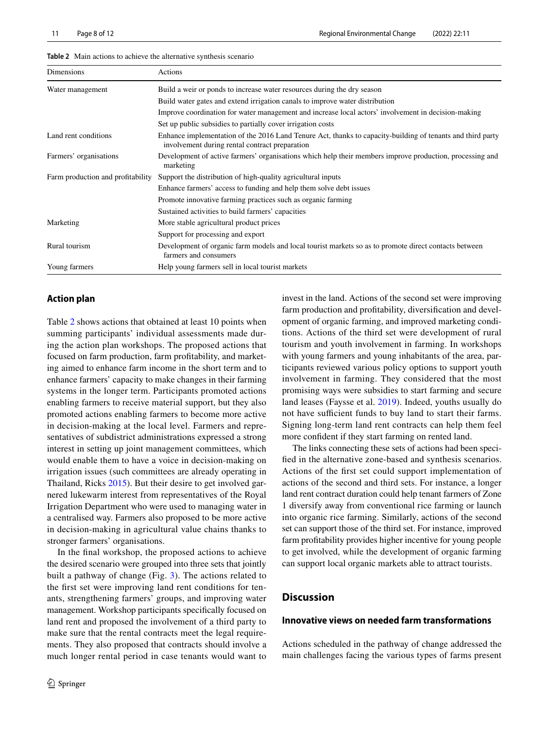| Dimensions                        | Actions                                                                                                                                                      |
|-----------------------------------|--------------------------------------------------------------------------------------------------------------------------------------------------------------|
| Water management                  | Build a weir or ponds to increase water resources during the dry season                                                                                      |
|                                   | Build water gates and extend irrigation canals to improve water distribution                                                                                 |
|                                   | Improve coordination for water management and increase local actors' involvement in decision-making                                                          |
|                                   | Set up public subsidies to partially cover irrigation costs                                                                                                  |
| Land rent conditions              | Enhance implementation of the 2016 Land Tenure Act, thanks to capacity-building of tenants and third party<br>involvement during rental contract preparation |
| Farmers' organisations            | Development of active farmers' organisations which help their members improve production, processing and<br>marketing                                        |
| Farm production and profitability | Support the distribution of high-quality agricultural inputs                                                                                                 |
|                                   | Enhance farmers' access to funding and help them solve debt issues                                                                                           |
|                                   | Promote innovative farming practices such as organic farming                                                                                                 |
|                                   | Sustained activities to build farmers' capacities                                                                                                            |
| Marketing                         | More stable agricultural product prices                                                                                                                      |
|                                   | Support for processing and export                                                                                                                            |
| Rural tourism                     | Development of organic farm models and local tourist markets so as to promote direct contacts between<br>farmers and consumers                               |
| Young farmers                     | Help young farmers sell in local tourist markets                                                                                                             |

<span id="page-7-0"></span>

| <b>Table 2</b> Main actions to achieve the alternative synthesis scenario |  |
|---------------------------------------------------------------------------|--|
|---------------------------------------------------------------------------|--|

#### **Action plan**

Table [2](#page-7-0) shows actions that obtained at least 10 points when summing participants' individual assessments made during the action plan workshops. The proposed actions that focused on farm production, farm proftability, and marketing aimed to enhance farm income in the short term and to enhance farmers' capacity to make changes in their farming systems in the longer term. Participants promoted actions enabling farmers to receive material support, but they also promoted actions enabling farmers to become more active in decision-making at the local level. Farmers and representatives of subdistrict administrations expressed a strong interest in setting up joint management committees, which would enable them to have a voice in decision-making on irrigation issues (such committees are already operating in Thailand, Ricks [2015\)](#page-10-25). But their desire to get involved garnered lukewarm interest from representatives of the Royal Irrigation Department who were used to managing water in a centralised way. Farmers also proposed to be more active in decision-making in agricultural value chains thanks to stronger farmers' organisations.

In the fnal workshop, the proposed actions to achieve the desired scenario were grouped into three sets that jointly built a pathway of change (Fig. [3\)](#page-8-0). The actions related to the frst set were improving land rent conditions for tenants, strengthening farmers' groups, and improving water management. Workshop participants specifcally focused on land rent and proposed the involvement of a third party to make sure that the rental contracts meet the legal requirements. They also proposed that contracts should involve a much longer rental period in case tenants would want to invest in the land. Actions of the second set were improving farm production and proftability, diversifcation and development of organic farming, and improved marketing conditions. Actions of the third set were development of rural tourism and youth involvement in farming. In workshops with young farmers and young inhabitants of the area, participants reviewed various policy options to support youth involvement in farming. They considered that the most promising ways were subsidies to start farming and secure land leases (Faysse et al. [2019](#page-10-11)). Indeed, youths usually do not have sufficient funds to buy land to start their farms. Signing long-term land rent contracts can help them feel more confdent if they start farming on rented land.

The links connecting these sets of actions had been specifed in the alternative zone-based and synthesis scenarios. Actions of the frst set could support implementation of actions of the second and third sets. For instance, a longer land rent contract duration could help tenant farmers of Zone 1 diversify away from conventional rice farming or launch into organic rice farming. Similarly, actions of the second set can support those of the third set. For instance, improved farm proftability provides higher incentive for young people to get involved, while the development of organic farming can support local organic markets able to attract tourists.

### **Discussion**

#### **Innovative views on needed farm transformations**

Actions scheduled in the pathway of change addressed the main challenges facing the various types of farms present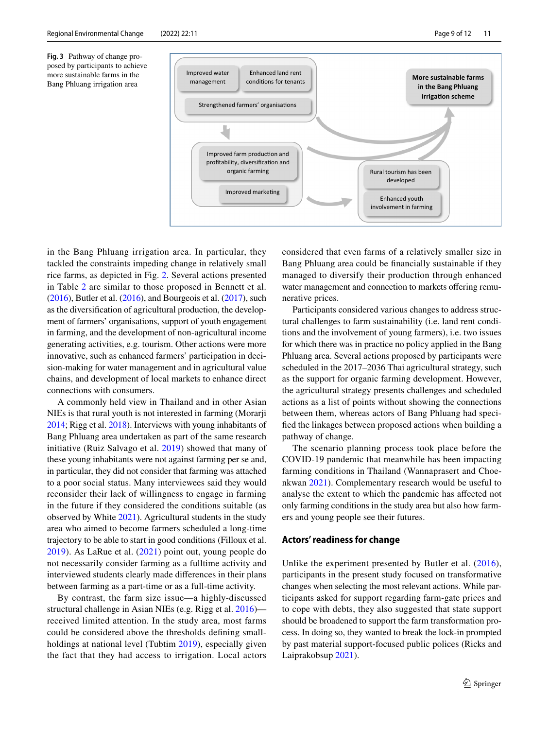<span id="page-8-0"></span>**Fig. 3** Pathway of change proposed by participants to achieve more sustainable farms in the Bang Phluang irrigation area



in the Bang Phluang irrigation area. In particular, they tackled the constraints impeding change in relatively small rice farms, as depicted in Fig. [2.](#page-3-0) Several actions presented in Table [2](#page-7-0) are similar to those proposed in Bennett et al.  $(2016)$  $(2016)$ , Butler et al.  $(2016)$ , and Bourgeois et al.  $(2017)$  $(2017)$  $(2017)$ , such as the diversifcation of agricultural production, the development of farmers' organisations, support of youth engagement in farming, and the development of non-agricultural income generating activities, e.g. tourism. Other actions were more innovative, such as enhanced farmers' participation in decision-making for water management and in agricultural value chains, and development of local markets to enhance direct connections with consumers.

A commonly held view in Thailand and in other Asian NIEs is that rural youth is not interested in farming (Morarji [2014;](#page-10-29) Rigg et al. [2018\)](#page-11-9). Interviews with young inhabitants of Bang Phluang area undertaken as part of the same research initiative (Ruiz Salvago et al. [2019](#page-11-2)) showed that many of these young inhabitants were not against farming per se and, in particular, they did not consider that farming was attached to a poor social status. Many interviewees said they would reconsider their lack of willingness to engage in farming in the future if they considered the conditions suitable (as observed by White [2021](#page-11-14)). Agricultural students in the study area who aimed to become farmers scheduled a long-time trajectory to be able to start in good conditions (Filloux et al. [2019](#page-10-30)). As LaRue et al. [\(2021\)](#page-10-31) point out, young people do not necessarily consider farming as a fulltime activity and interviewed students clearly made diferences in their plans between farming as a part-time or as a full-time activity.

By contrast, the farm size issue—a highly-discussed structural challenge in Asian NIEs (e.g. Rigg et al. [2016\)](#page-11-0) received limited attention. In the study area, most farms could be considered above the thresholds defning smallholdings at national level (Tubtim [2019](#page-11-10)), especially given the fact that they had access to irrigation. Local actors considered that even farms of a relatively smaller size in Bang Phluang area could be fnancially sustainable if they managed to diversify their production through enhanced water management and connection to markets offering remunerative prices.

Participants considered various changes to address structural challenges to farm sustainability (i.e. land rent conditions and the involvement of young farmers), i.e. two issues for which there was in practice no policy applied in the Bang Phluang area. Several actions proposed by participants were scheduled in the 2017–2036 Thai agricultural strategy, such as the support for organic farming development. However, the agricultural strategy presents challenges and scheduled actions as a list of points without showing the connections between them, whereas actors of Bang Phluang had specifed the linkages between proposed actions when building a pathway of change.

The scenario planning process took place before the COVID-19 pandemic that meanwhile has been impacting farming conditions in Thailand (Wannaprasert and Choenkwan [2021\)](#page-11-15). Complementary research would be useful to analyse the extent to which the pandemic has afected not only farming conditions in the study area but also how farmers and young people see their futures.

#### **Actors' readiness for change**

Unlike the experiment presented by Butler et al. [\(2016](#page-9-4)), participants in the present study focused on transformative changes when selecting the most relevant actions. While participants asked for support regarding farm-gate prices and to cope with debts, they also suggested that state support should be broadened to support the farm transformation process. In doing so, they wanted to break the lock-in prompted by past material support-focused public polices (Ricks and Laiprakobsup [2021](#page-10-24)).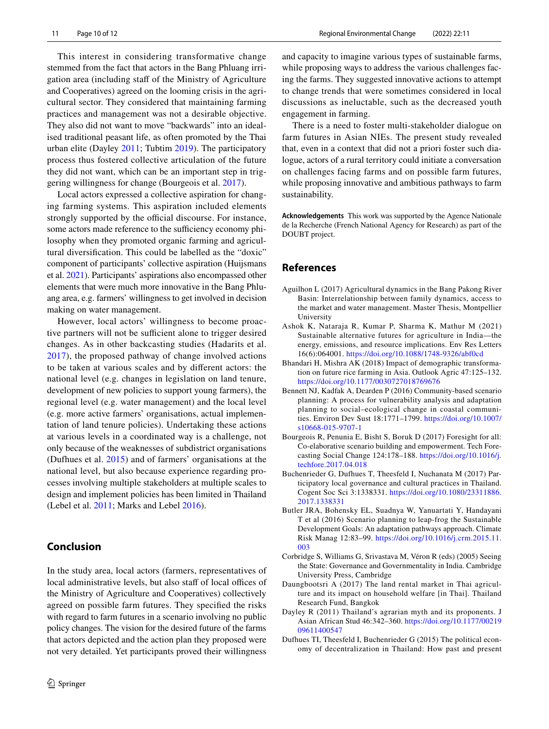This interest in considering transformative change stemmed from the fact that actors in the Bang Phluang irrigation area (including staff of the Ministry of Agriculture and Cooperatives) agreed on the looming crisis in the agricultural sector. They considered that maintaining farming practices and management was not a desirable objective. They also did not want to move "backwards" into an idealised traditional peasant life, as often promoted by the Thai urban elite (Dayley [2011;](#page-9-10) Tubtim [2019\)](#page-11-10). The participatory process thus fostered collective articulation of the future they did not want, which can be an important step in triggering willingness for change (Bourgeois et al. [2017\)](#page-9-3).

Local actors expressed a collective aspiration for changing farming systems. This aspiration included elements strongly supported by the official discourse. For instance, some actors made reference to the sufficiency economy philosophy when they promoted organic farming and agricultural diversifcation. This could be labelled as the "doxic" component of participants' collective aspiration (Huijsmans et al. [2021\)](#page-10-32). Participants' aspirations also encompassed other elements that were much more innovative in the Bang Phluang area, e.g. farmers' willingness to get involved in decision making on water management.

However, local actors' willingness to become proactive partners will not be sufficient alone to trigger desired changes. As in other backcasting studies (Hadarits et al. [2017\)](#page-10-14), the proposed pathway of change involved actions to be taken at various scales and by diferent actors: the national level (e.g. changes in legislation on land tenure, development of new policies to support young farmers), the regional level (e.g. water management) and the local level (e.g. more active farmers' organisations, actual implementation of land tenure policies). Undertaking these actions at various levels in a coordinated way is a challenge, not only because of the weaknesses of subdistrict organisations (Dufhues et al. [2015\)](#page-9-6) and of farmers' organisations at the national level, but also because experience regarding processes involving multiple stakeholders at multiple scales to design and implement policies has been limited in Thailand (Lebel et al. [2011;](#page-10-33) Marks and Lebel [2016](#page-10-34)).

# **Conclusion**

In the study area, local actors (farmers, representatives of local administrative levels, but also staff of local offices of the Ministry of Agriculture and Cooperatives) collectively agreed on possible farm futures. They specifed the risks with regard to farm futures in a scenario involving no public policy changes. The vision for the desired future of the farms that actors depicted and the action plan they proposed were not very detailed. Yet participants proved their willingness

and capacity to imagine various types of sustainable farms, while proposing ways to address the various challenges facing the farms. They suggested innovative actions to attempt to change trends that were sometimes considered in local discussions as ineluctable, such as the decreased youth engagement in farming.

There is a need to foster multi-stakeholder dialogue on farm futures in Asian NIEs. The present study revealed that, even in a context that did not a priori foster such dialogue, actors of a rural territory could initiate a conversation on challenges facing farms and on possible farm futures, while proposing innovative and ambitious pathways to farm sustainability.

**Acknowledgements** This work was supported by the Agence Nationale de la Recherche (French National Agency for Research) as part of the DOUBT project.

# **References**

- <span id="page-9-8"></span>Aguilhon L (2017) Agricultural dynamics in the Bang Pakong River Basin: Interrelationship between family dynamics, access to the market and water management. Master Thesis, Montpellier University
- <span id="page-9-1"></span>Ashok K, Nataraja R, Kumar P, Sharma K, Mathur M (2021) Sustainable alternative futures for agriculture in India—the energy, emissions, and resource implications. Env Res Letters 16(6):064001. <https://doi.org/10.1088/1748-9326/abf0cd>
- <span id="page-9-0"></span>Bhandari H, Mishra AK (2018) Impact of demographic transformation on future rice farming in Asia. Outlook Agric 47:125–132. <https://doi.org/10.1177/0030727018769676>
- <span id="page-9-2"></span>Bennett NJ, Kadfak A, Dearden P (2016) Community-based scenario planning: A process for vulnerability analysis and adaptation planning to social–ecological change in coastal communities. Environ Dev Sust 18:1771–1799. [https://doi.org/10.1007/](https://doi.org/10.1007/s10668-015-9707-1) [s10668-015-9707-1](https://doi.org/10.1007/s10668-015-9707-1)
- <span id="page-9-3"></span>Bourgeois R, Penunia E, Bisht S, Boruk D (2017) Foresight for all: Co-elaborative scenario building and empowerment. Tech Forecasting Social Change 124:178–188. [https://doi.org/10.1016/j.](https://doi.org/10.1016/j.techfore.2017.04.018) [techfore.2017.04.018](https://doi.org/10.1016/j.techfore.2017.04.018)
- <span id="page-9-7"></span>Buchenrieder G, Dufhues T, Theesfeld I, Nuchanata M (2017) Participatory local governance and cultural practices in Thailand. Cogent Soc Sci 3:1338331. [https://doi.org/10.1080/23311886.](https://doi.org/10.1080/23311886.2017.1338331) [2017.1338331](https://doi.org/10.1080/23311886.2017.1338331)
- <span id="page-9-4"></span>Butler JRA, Bohensky EL, Suadnya W, Yanuartati Y, Handayani T et al (2016) Scenario planning to leap-frog the Sustainable Development Goals: An adaptation pathways approach. Climate Risk Manag 12:83–99. [https://doi.org/10.1016/j.crm.2015.11.](https://doi.org/10.1016/j.crm.2015.11.003) [003](https://doi.org/10.1016/j.crm.2015.11.003)
- <span id="page-9-5"></span>Corbridge S, Williams G, Srivastava M, Véron R (eds) (2005) Seeing the State: Governance and Governmentality in India. Cambridge University Press, Cambridge
- <span id="page-9-9"></span>Daungbootsri A (2017) The land rental market in Thai agriculture and its impact on household welfare [in Thai]. Thailand Research Fund, Bangkok
- <span id="page-9-10"></span>Dayley R (2011) Thailand's agrarian myth and its proponents. J Asian African Stud 46:342–360. [https://doi.org/10.1177/00219](https://doi.org/10.1177/0021909611400547) [09611400547](https://doi.org/10.1177/0021909611400547)
- <span id="page-9-6"></span>Dufhues TI, Theesfeld I, Buchenrieder G (2015) The political economy of decentralization in Thailand: How past and present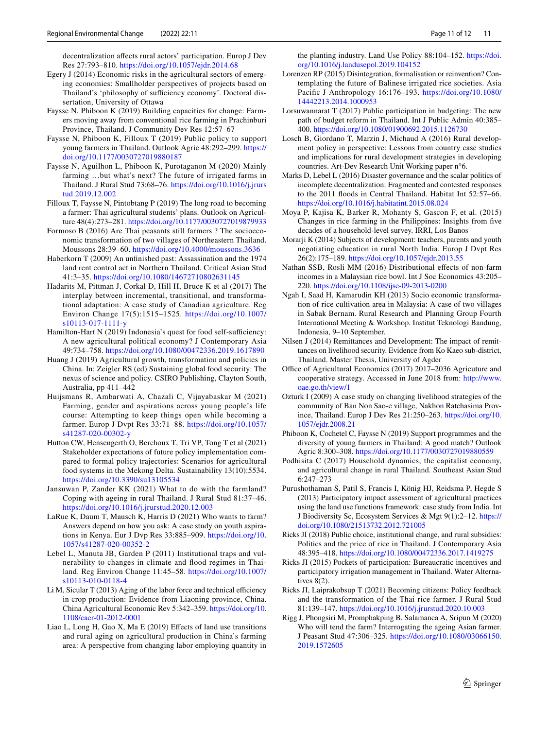decentralization afects rural actors' participation. Europ J Dev Res 27:793–810. <https://doi.org/10.1057/ejdr.2014.68>

- <span id="page-10-21"></span>Egery J (2014) Economic risks in the agricultural sectors of emerging economies: Smallholder perspectives of projects based on Thailand's 'philosophy of sufficiency economy'. Doctoral dissertation, University of Ottawa
- <span id="page-10-26"></span>Faysse N, Phiboon K (2019) Building capacities for change: Farmers moving away from conventional rice farming in Prachinburi Province, Thailand. J Community Dev Res 12:57–67
- <span id="page-10-11"></span>Faysse N, Phiboon K, Filloux T (2019) Public policy to support young farmers in Thailand. Outlook Agric 48:292–299. [https://](https://doi.org/10.1177/0030727019880187) [doi.org/10.1177/0030727019880187](https://doi.org/10.1177/0030727019880187)
- <span id="page-10-15"></span>Faysse N, Aguilhon L, Phiboon K, Purotaganon M (2020) Mainly farming …but what's next? The future of irrigated farms in Thailand. J Rural Stud 73:68–76. [https://doi.org/10.1016/j.jrurs](https://doi.org/10.1016/j.jrurstud.2019.12.002) [tud.2019.12.002](https://doi.org/10.1016/j.jrurstud.2019.12.002)
- <span id="page-10-30"></span>Filloux T, Faysse N, Pintobtang P (2019) The long road to becoming a farmer: Thai agricultural students' plans. Outlook on Agriculture 48(4):273–281.<https://doi.org/10.1177/0030727019879933>
- <span id="page-10-17"></span>Formoso B (2016) Are Thai peasants still farmers ? The socioeconomic transformation of two villages of Northeastern Thailand. Moussons 28:39–60. <https://doi.org/10.4000/moussons.3636>
- <span id="page-10-27"></span>Haberkorn T (2009) An unfnished past: Assassination and the 1974 land rent control act in Northern Thailand. Critical Asian Stud 41:3–35.<https://doi.org/10.1080/14672710802631145>
- <span id="page-10-14"></span>Hadarits M, Pittman J, Corkal D, Hill H, Bruce K et al (2017) The interplay between incremental, transitional, and transformational adaptation: A case study of Canadian agriculture. Reg Environ Change 17(5):1515–1525. [https://doi.org/10.1007/](https://doi.org/10.1007/s10113-017-1111-y) [s10113-017-1111-y](https://doi.org/10.1007/s10113-017-1111-y)
- <span id="page-10-8"></span>Hamilton-Hart N (2019) Indonesia's quest for food self-sufficiency: A new agricultural political economy? J Contemporary Asia 49:734–758. <https://doi.org/10.1080/00472336.2019.1617890>
- <span id="page-10-9"></span>Huang J (2019) Agricultural growth, transformation and policies in China. In: Zeigler RS (ed) Sustaining global food security: The nexus of science and policy. CSIRO Publishing, Clayton South, Australia, pp 411–442
- <span id="page-10-32"></span>Huijsmans R, Ambarwati A, Chazali C, Vijayabaskar M (2021) Farming, gender and aspirations across young people's life course: Attempting to keep things open while becoming a farmer. Europ J Dvpt Res 33:71–88. [https://doi.org/10.1057/](https://doi.org/10.1057/s41287-020-00302-y) [s41287-020-00302-y](https://doi.org/10.1057/s41287-020-00302-y)
- <span id="page-10-13"></span>Hutton CW, Hensengerth O, Berchoux T, Tri VP, Tong T et al (2021) Stakeholder expectations of future policy implementation compared to formal policy trajectories: Scenarios for agricultural food systems in the Mekong Delta. Sustainability 13(10):5534. <https://doi.org/10.3390/su13105534>
- <span id="page-10-7"></span>Jansuwan P, Zander KK (2021) What to do with the farmland? Coping with ageing in rural Thailand. J Rural Stud 81:37–46. <https://doi.org/10.1016/j.jrurstud.2020.12.003>
- <span id="page-10-31"></span>LaRue K, Daum T, Mausch K, Harris D (2021) Who wants to farm? Answers depend on how you ask: A case study on youth aspirations in Kenya. Eur J Dvp Res 33:885–909. [https://doi.org/10.](https://doi.org/10.1057/s41287-020-00352-2) [1057/s41287-020-00352-2](https://doi.org/10.1057/s41287-020-00352-2)
- <span id="page-10-33"></span>Lebel L, Manuta JB, Garden P (2011) Institutional traps and vulnerability to changes in climate and food regimes in Thailand. Reg Environ Change 11:45–58. [https://doi.org/10.1007/](https://doi.org/10.1007/s10113-010-0118-4) [s10113-010-0118-4](https://doi.org/10.1007/s10113-010-0118-4)
- <span id="page-10-5"></span>Li M, Sicular  $T(2013)$  Aging of the labor force and technical efficiency in crop production: Evidence from Liaoning province, China. China Agricultural Economic Rev 5:342–359. [https://doi.org/10.](https://doi.org/10.1108/caer-01-2012-0001) [1108/caer-01-2012-0001](https://doi.org/10.1108/caer-01-2012-0001)
- <span id="page-10-4"></span>Liao L, Long H, Gao X, Ma E (2019) Efects of land use transitions and rural aging on agricultural production in China's farming area: A perspective from changing labor employing quantity in

the planting industry. Land Use Policy 88:104–152. [https://doi.](https://doi.org/10.1016/j.landusepol.2019.104152) [org/10.1016/j.landusepol.2019.104152](https://doi.org/10.1016/j.landusepol.2019.104152)

- <span id="page-10-0"></span>Lorenzen RP (2015) Disintegration, formalisation or reinvention? Contemplating the future of Balinese irrigated rice societies. Asia Pacifc J Anthropology 16:176–193. [https://doi.org/10.1080/](https://doi.org/10.1080/14442213.2014.1000953) [14442213.2014.1000953](https://doi.org/10.1080/14442213.2014.1000953)
- <span id="page-10-22"></span>Lorsuwannarat T (2017) Public participation in budgeting: The new path of budget reform in Thailand. Int J Public Admin 40:385– 400.<https://doi.org/10.1080/01900692.2015.1126730>
- <span id="page-10-10"></span>Losch B, Giordano T, Marzin J, Michaud A (2016) Rural development policy in perspective: Lessons from country case studies and implications for rural development strategies in developing countries. Art-Dev Research Unit Working paper n°6.
- <span id="page-10-34"></span>Marks D, Lebel L (2016) Disaster governance and the scalar politics of incomplete decentralization: Fragmented and contested responses to the 2011 foods in Central Thailand. Habitat Int 52:57–66. <https://doi.org/10.1016/j.habitatint.2015.08.024>
- <span id="page-10-1"></span>Moya P, Kajisa K, Barker R, Mohanty S, Gascon F, et al. (2015) Changes in rice farming in the Philippines: Insights from fve decades of a household-level survey. IRRI, Los Banos
- <span id="page-10-29"></span>Morarji K (2014) Subjects of development: teachers, parents and youth negotiating education in rural North India. Europ J Dvpt Res 26(2):175–189.<https://doi.org/10.1057/ejdr.2013.55>
- <span id="page-10-2"></span>Nathan SSB, Rosli MM (2016) Distributional efects of non-farm incomes in a Malaysian rice bowl. Int J Soc Economics 43:205– 220.<https://doi.org/10.1108/ijse-09-2013-0200>
- <span id="page-10-6"></span>Ngah I, Saad H, Kamarudin KH (2013) Socio economic transformation of rice cultivation area in Malaysia: A case of two villages in Sabak Bernam. Rural Research and Planning Group Fourth International Meeting & Workshop. Institut Teknologi Bandung, Indonesia, 9–10 September.
- <span id="page-10-18"></span>Nilsen J (2014) Remittances and Development: The impact of remittances on livelihood security. Evidence from Ko Kaeo sub-district, Thailand. Master Thesis, University of Agder
- <span id="page-10-20"></span>Office of Agricultural Economics (2017) 2017–2036 Agricuture and cooperative strategy. Accessed in June 2018 from: [http://www.](http://www.oae.go.th/view/1) [oae.go.th/view/1](http://www.oae.go.th/view/1)
- <span id="page-10-3"></span>Ozturk I (2009) A case study on changing livelihood strategies of the community of Ban Non Sao-e village, Nakhon Ratchasima Province, Thailand. Europ J Dev Res 21:250–263. [https://doi.org/10.](https://doi.org/10.1057/ejdr.2008.21) [1057/ejdr.2008.21](https://doi.org/10.1057/ejdr.2008.21)
- <span id="page-10-28"></span>Phiboon K, Cochetel C, Faysse N (2019) Support programmes and the diversity of young farmers in Thailand: A good match? Outlook Agric 8:300–308. <https://doi.org/10.1177/0030727019880559>
- <span id="page-10-19"></span>Podhisita C (2017) Household dynamics, the capitalist economy, and agricultural change in rural Thailand. Southeast Asian Stud 6:247–273
- <span id="page-10-12"></span>Purushothaman S, Patil S, Francis I, König HJ, Reidsma P, Hegde S (2013) Participatory impact assessment of agricultural practices using the land use functions framework: case study from India. Int J Biodiversity Sc, Ecosystem Services & Mgt 9(1):2–12. [https://](https://doi.org/10.1080/21513732.2012.721005) [doi.org/10.1080/21513732.2012.721005](https://doi.org/10.1080/21513732.2012.721005)
- <span id="page-10-23"></span>Ricks JI (2018) Public choice, institutional change, and rural subsidies: Politics and the price of rice in Thailand. J Contemporary Asia 48:395–418.<https://doi.org/10.1080/00472336.2017.1419275>
- <span id="page-10-25"></span>Ricks JI (2015) Pockets of participation: Bureaucratic incentives and participatory irrigation management in Thailand. Water Alternatives 8(2).
- <span id="page-10-24"></span>Ricks JI, Laiprakobsup T (2021) Becoming citizens: Policy feedback and the transformation of the Thai rice farmer. J Rural Stud 81:139–147.<https://doi.org/10.1016/j.jrurstud.2020.10.003>
- <span id="page-10-16"></span>Rigg J, Phongsiri M, Promphakping B, Salamanca A, Sripun M (2020) Who will tend the farm? Interrogating the ageing Asian farmer. J Peasant Stud 47:306–325. [https://doi.org/10.1080/03066150.](https://doi.org/10.1080/03066150.2019.1572605) [2019.1572605](https://doi.org/10.1080/03066150.2019.1572605)